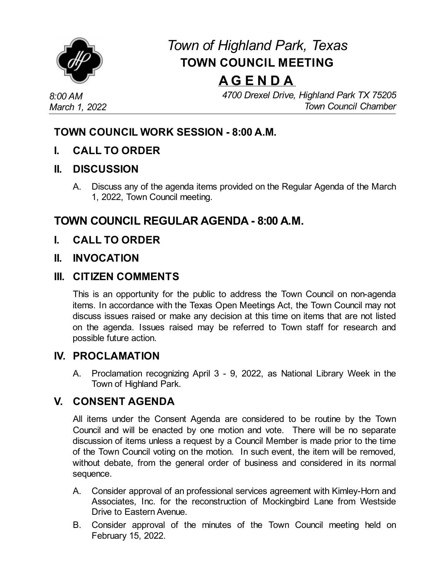

# *Town of Highland Park, Texas* **TOWN COUNCIL MEETING**

# **A G E N D A**

*8:00 AM March 1, 2022* *4700 Drexel Drive, Highland Park TX 75205 Town Council Chamber*

### **TOWN COUNCIL WORK SESSION - 8:00 A.M.**

**I. CALL TO ORDER**

#### **II. DISCUSSION**

A. Discuss any of the agenda items provided on the Regular Agenda of the March 1, 2022, Town Council meeting.

## **TOWN COUNCIL REGULAR AGENDA - 8:00 A.M.**

**I. CALL TO ORDER**

#### **II. INVOCATION**

#### **III. CITIZEN COMMENTS**

This is an opportunity for the public to address the Town Council on non-agenda items. In accordance with the Texas Open Meetings Act, the Town Council may not discuss issues raised or make any decision at this time on items that are not listed on the agenda. Issues raised may be referred to Town staff for research and possible future action.

#### **IV. PROCLAMATION**

A. [Proclamation](file:///C:/Windows/TEMP/CoverSheet.aspx?ItemID=4582&MeetingID=741) recognizing April 3 - 9, 2022, as National Library Week in the Town of Highland Park.

#### **V. CONSENT AGENDA**

All items under the Consent Agenda are considered to be routine by the Town Council and will be enacted by one motion and vote. There will be no separate discussion of items unless a request by a Council Member is made prior to the time of the Town Council voting on the motion. In such event, the item will be removed, without debate, from the general order of business and considered in its normal sequence.

- A. Consider approval of an professional services agreement with Kimley-Horn and Associates, Inc. for the reconstruction of Mockingbird Lane from Westside Drive to Eastern Avenue.
- B. [Consider](file:///C:/Windows/TEMP/CoverSheet.aspx?ItemID=4583&MeetingID=741) approval of the minutes of the Town Council meeting held on February 15, 2022.